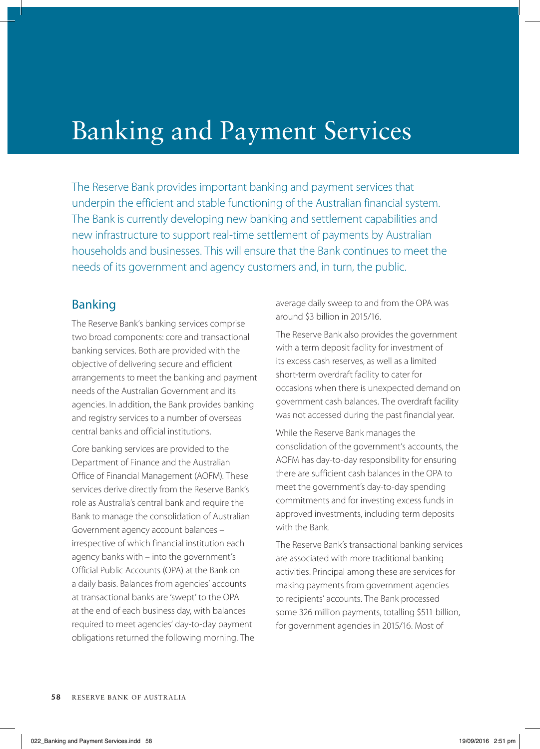## Banking and Payment Services

The Reserve Bank provides important banking and payment services that underpin the efficient and stable functioning of the Australian financial system. The Bank is currently developing new banking and settlement capabilities and new infrastructure to support real-time settlement of payments by Australian households and businesses. This will ensure that the Bank continues to meet the needs of its government and agency customers and, in turn, the public.

## Banking

The Reserve Bank's banking services comprise two broad components: core and transactional banking services. Both are provided with the objective of delivering secure and efficient arrangements to meet the banking and payment needs of the Australian Government and its agencies. In addition, the Bank provides banking and registry services to a number of overseas central banks and official institutions.

Core banking services are provided to the Department of Finance and the Australian Office of Financial Management (AOFM). These services derive directly from the Reserve Bank's role as Australia's central bank and require the Bank to manage the consolidation of Australian Government agency account balances – irrespective of which financial institution each agency banks with – into the government's Official Public Accounts (OPA) at the Bank on a daily basis. Balances from agencies' accounts at transactional banks are 'swept' to the OPA at the end of each business day, with balances required to meet agencies' day-to-day payment obligations returned the following morning. The average daily sweep to and from the OPA was around \$3 billion in 2015/16.

The Reserve Bank also provides the government with a term deposit facility for investment of its excess cash reserves, as well as a limited short-term overdraft facility to cater for occasions when there is unexpected demand on government cash balances. The overdraft facility was not accessed during the past financial year.

While the Reserve Bank manages the consolidation of the government's accounts, the AOFM has day-to-day responsibility for ensuring there are sufficient cash balances in the OPA to meet the government's day-to-day spending commitments and for investing excess funds in approved investments, including term deposits with the Bank.

The Reserve Bank's transactional banking services are associated with more traditional banking activities. Principal among these are services for making payments from government agencies to recipients' accounts. The Bank processed some 326 million payments, totalling \$511 billion, for government agencies in 2015/16. Most of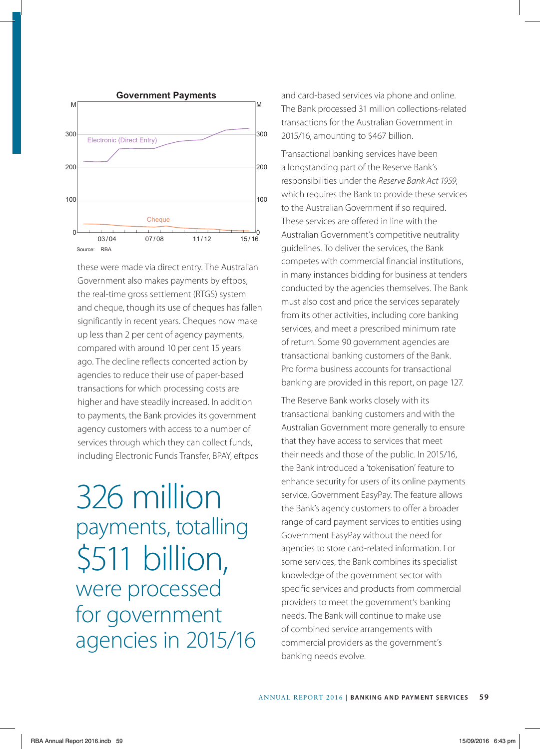

these were made via direct entry. The Australian Government also makes payments by eftpos, the real-time gross settlement (RTGS) system and cheque, though its use of cheques has fallen significantly in recent years. Cheques now make up less than 2 per cent of agency payments, compared with around 10 per cent 15 years ago. The decline reflects concerted action by agencies to reduce their use of paper-based transactions for which processing costs are higher and have steadily increased. In addition to payments, the Bank provides its government agency customers with access to a number of services through which they can collect funds, including Electronic Funds Transfer, BPAY, eftpos

## 326 million payments, totalling \$511 billion, were processed for government agencies in 2015/16

and card-based services via phone and online. The Bank processed 31 million collections-related transactions for the Australian Government in 2015/16, amounting to \$467 billion.

Transactional banking services have been a longstanding part of the Reserve Bank's responsibilities under the *Reserve Bank Act 1959*, which requires the Bank to provide these services to the Australian Government if so required. These services are offered in line with the Australian Government's competitive neutrality guidelines. To deliver the services, the Bank competes with commercial financial institutions, in many instances bidding for business at tenders conducted by the agencies themselves. The Bank must also cost and price the services separately from its other activities, including core banking services, and meet a prescribed minimum rate of return. Some 90 government agencies are transactional banking customers of the Bank. Pro forma business accounts for transactional banking are provided in this report, on page 127.

The Reserve Bank works closely with its transactional banking customers and with the Australian Government more generally to ensure that they have access to services that meet their needs and those of the public. In 2015/16, the Bank introduced a 'tokenisation' feature to enhance security for users of its online payments service, Government EasyPay. The feature allows the Bank's agency customers to offer a broader range of card payment services to entities using Government EasyPay without the need for agencies to store card-related information. For some services, the Bank combines its specialist knowledge of the government sector with specific services and products from commercial providers to meet the government's banking needs. The Bank will continue to make use of combined service arrangements with commercial providers as the government's banking needs evolve.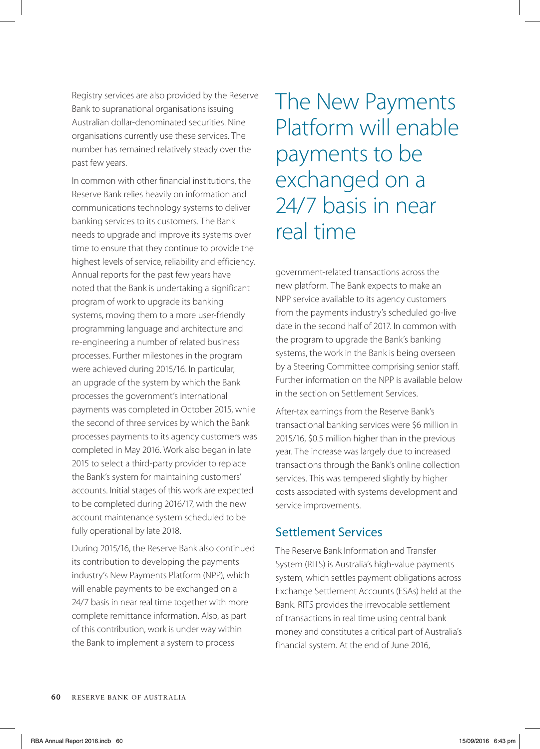Registry services are also provided by the Reserve Bank to supranational organisations issuing Australian dollar-denominated securities. Nine organisations currently use these services. The number has remained relatively steady over the past few years.

In common with other financial institutions, the Reserve Bank relies heavily on information and communications technology systems to deliver banking services to its customers. The Bank needs to upgrade and improve its systems over time to ensure that they continue to provide the highest levels of service, reliability and efficiency. Annual reports for the past few years have noted that the Bank is undertaking a significant program of work to upgrade its banking systems, moving them to a more user-friendly programming language and architecture and re-engineering a number of related business processes. Further milestones in the program were achieved during 2015/16. In particular, an upgrade of the system by which the Bank processes the government's international payments was completed in October 2015, while the second of three services by which the Bank processes payments to its agency customers was completed in May 2016. Work also began in late 2015 to select a third-party provider to replace the Bank's system for maintaining customers' accounts. Initial stages of this work are expected to be completed during 2016/17, with the new account maintenance system scheduled to be fully operational by late 2018.

During 2015/16, the Reserve Bank also continued its contribution to developing the payments industry's New Payments Platform (NPP), which will enable payments to be exchanged on a 24/7 basis in near real time together with more complete remittance information. Also, as part of this contribution, work is under way within the Bank to implement a system to process

The New Payments Platform will enable payments to be exchanged on a 24/7 basis in near real time

government-related transactions across the new platform. The Bank expects to make an NPP service available to its agency customers from the payments industry's scheduled go-live date in the second half of 2017. In common with the program to upgrade the Bank's banking systems, the work in the Bank is being overseen by a Steering Committee comprising senior staff. Further information on the NPP is available below in the section on Settlement Services.

After-tax earnings from the Reserve Bank's transactional banking services were \$6 million in 2015/16, \$0.5 million higher than in the previous year. The increase was largely due to increased transactions through the Bank's online collection services. This was tempered slightly by higher costs associated with systems development and service improvements.

## Settlement Services

The Reserve Bank Information and Transfer System (RITS) is Australia's high-value payments system, which settles payment obligations across Exchange Settlement Accounts (ESAs) held at the Bank. RITS provides the irrevocable settlement of transactions in real time using central bank money and constitutes a critical part of Australia's financial system. At the end of June 2016,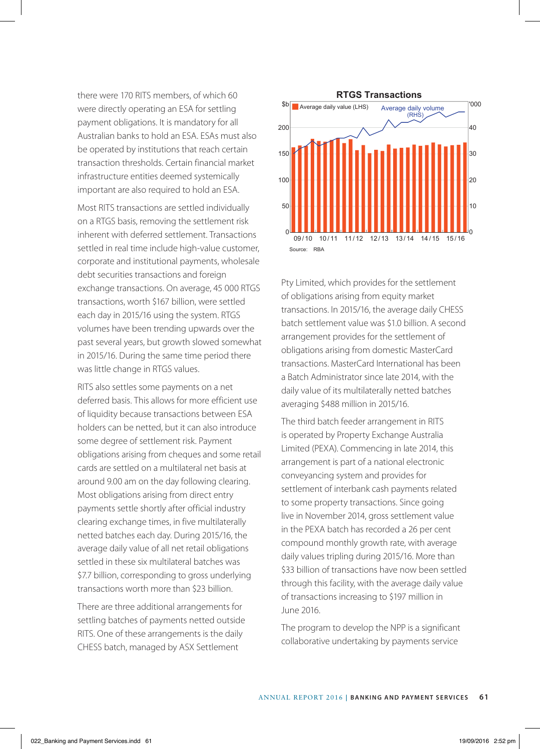there were 170 RITS members, of which 60 were directly operating an ESA for settling payment obligations. It is mandatory for all Australian banks to hold an ESA. ESAs must also be operated by institutions that reach certain transaction thresholds. Certain financial market infrastructure entities deemed systemically important are also required to hold an ESA.

Most RITS transactions are settled individually on a RTGS basis, removing the settlement risk inherent with deferred settlement. Transactions settled in real time include high-value customer, corporate and institutional payments, wholesale debt securities transactions and foreign exchange transactions. On average, 45 000 RTGS transactions, worth \$167 billion, were settled each day in 2015/16 using the system. RTGS volumes have been trending upwards over the past several years, but growth slowed somewhat in 2015/16. During the same time period there was little change in RTGS values.

RITS also settles some payments on a net deferred basis. This allows for more efficient use of liquidity because transactions between ESA holders can be netted, but it can also introduce some degree of settlement risk. Payment obligations arising from cheques and some retail cards are settled on a multilateral net basis at around 9.00 am on the day following clearing. Most obligations arising from direct entry payments settle shortly after official industry clearing exchange times, in five multilaterally netted batches each day. During 2015/16, the average daily value of all net retail obligations settled in these six multilateral batches was \$7.7 billion, corresponding to gross underlying transactions worth more than \$23 billion.

There are three additional arrangements for settling batches of payments netted outside RITS. One of these arrangements is the daily CHESS batch, managed by ASX Settlement



Pty Limited, which provides for the settlement of obligations arising from equity market transactions. In 2015/16, the average daily CHESS batch settlement value was \$1.0 billion. A second arrangement provides for the settlement of obligations arising from domestic MasterCard transactions. MasterCard International has been a Batch Administrator since late 2014, with the daily value of its multilaterally netted batches averaging \$488 million in 2015/16.

The third batch feeder arrangement in RITS is operated by Property Exchange Australia Limited (PEXA). Commencing in late 2014, this arrangement is part of a national electronic conveyancing system and provides for settlement of interbank cash payments related to some property transactions. Since going live in November 2014, gross settlement value in the PEXA batch has recorded a 26 per cent compound monthly growth rate, with average daily values tripling during 2015/16. More than \$33 billion of transactions have now been settled through this facility, with the average daily value of transactions increasing to \$197 million in June 2016.

The program to develop the NPP is a significant collaborative undertaking by payments service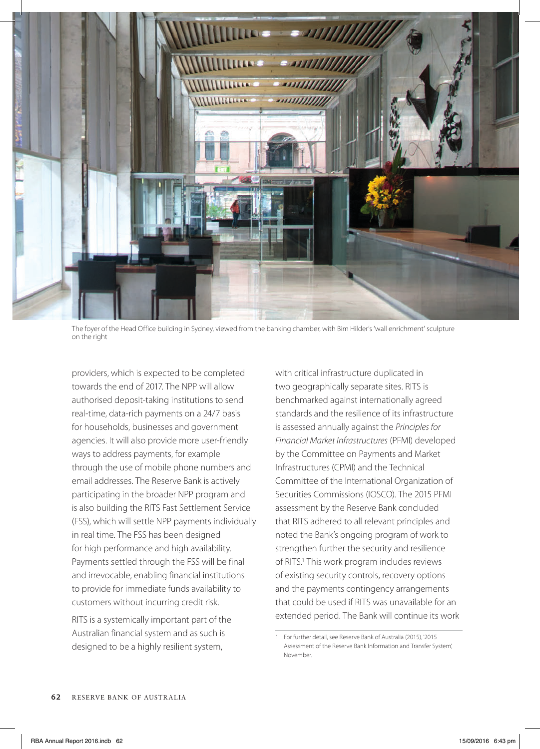

The foyer of the Head Office building in Sydney, viewed from the banking chamber, with Bim Hilder's 'wall enrichment' sculpture on the right

providers, which is expected to be completed towards the end of 2017. The NPP will allow authorised deposit-taking institutions to send real-time, data-rich payments on a 24/7 basis for households, businesses and government agencies. It will also provide more user-friendly ways to address payments, for example through the use of mobile phone numbers and email addresses. The Reserve Bank is actively participating in the broader NPP program and is also building the RITS Fast Settlement Service (FSS), which will settle NPP payments individually in real time. The FSS has been designed for high performance and high availability. Payments settled through the FSS will be final and irrevocable, enabling financial institutions to provide for immediate funds availability to customers without incurring credit risk.

RITS is a systemically important part of the Australian financial system and as such is designed to be a highly resilient system,

with critical infrastructure duplicated in two geographically separate sites. RITS is benchmarked against internationally agreed standards and the resilience of its infrastructure is assessed annually against the *Principles for Financial Market Infrastructures* (PFMI) developed by the Committee on Payments and Market Infrastructures (CPMI) and the Technical Committee of the International Organization of Securities Commissions (IOSCO). The 2015 PFMI assessment by the Reserve Bank concluded that RITS adhered to all relevant principles and noted the Bank's ongoing program of work to strengthen further the security and resilience of RITS.<sup>1</sup> This work program includes reviews of existing security controls, recovery options and the payments contingency arrangements that could be used if RITS was unavailable for an extended period. The Bank will continue its work

<sup>1</sup> For further detail, see Reserve Bank of Australia (2015), '2015 Assessment of the Reserve Bank Information and Transfer System', November.